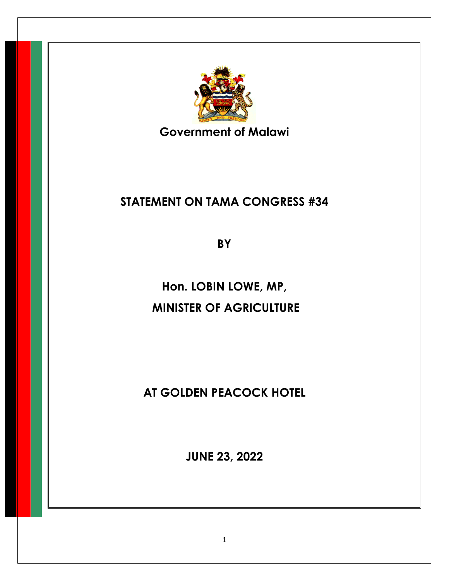

**Government of Malawi**

## **STATEMENT ON TAMA CONGRESS #34**

**BY** 

**Hon. LOBIN LOWE, MP, MINISTER OF AGRICULTURE** 

**AT GOLDEN PEACOCK HOTEL**

**JUNE 23, 2022**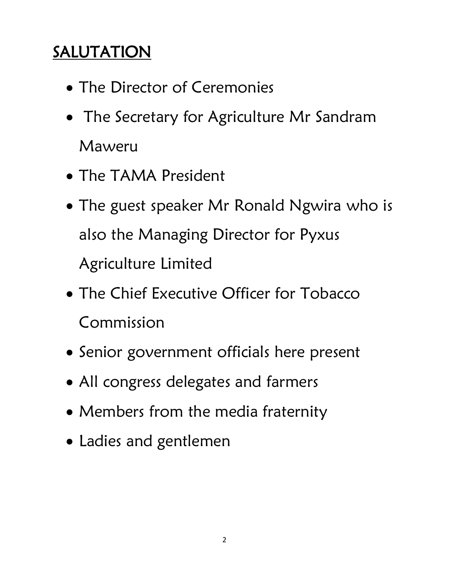## **SALUTATION**

- The Director of Ceremonies
- The Secretary for Agriculture Mr Sandram Maweru
- The TAMA President
- The guest speaker Mr Ronald Ngwira who is also the Managing Director for Pyxus Agriculture Limited
- The Chief Executive Officer for Tobacco Commission
- Senior government officials here present
- All congress delegates and farmers
- Members from the media fraternity
- Ladies and gentlemen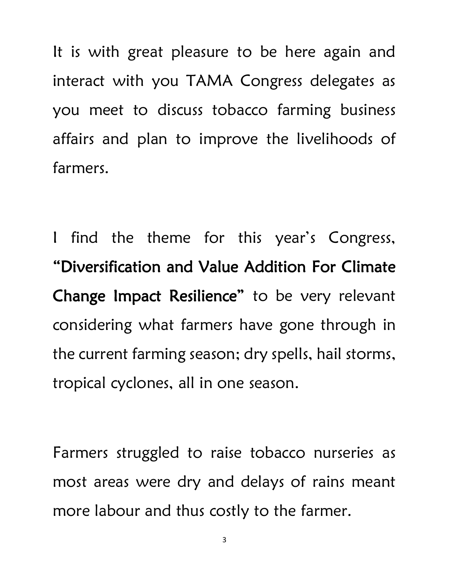It is with great pleasure to be here again and interact with you TAMA Congress delegates as you meet to discuss tobacco farming business affairs and plan to improve the livelihoods of farmers.

I find the theme for this year's Congress, "Diversification and Value Addition For Climate Change Impact Resilience" to be very relevant considering what farmers have gone through in the current farming season; dry spells, hail storms, tropical cyclones, all in one season.

Farmers struggled to raise tobacco nurseries as most areas were dry and delays of rains meant more labour and thus costly to the farmer.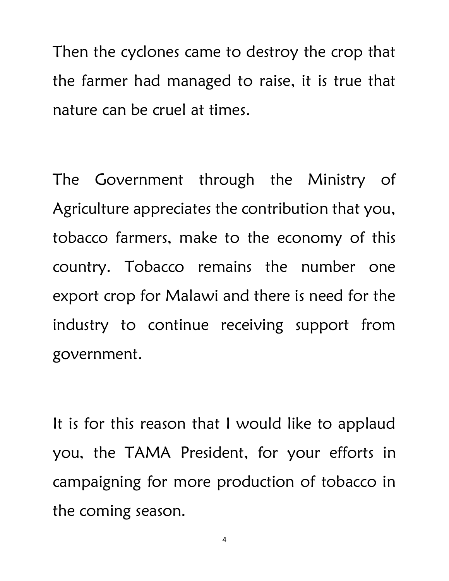Then the cyclones came to destroy the crop that the farmer had managed to raise, it is true that nature can be cruel at times.

The Government through the Ministry of Agriculture appreciates the contribution that you, tobacco farmers, make to the economy of this country. Tobacco remains the number one export crop for Malawi and there is need for the industry to continue receiving support from government.

It is for this reason that I would like to applaud you, the TAMA President, for your efforts in campaigning for more production of tobacco in the coming season.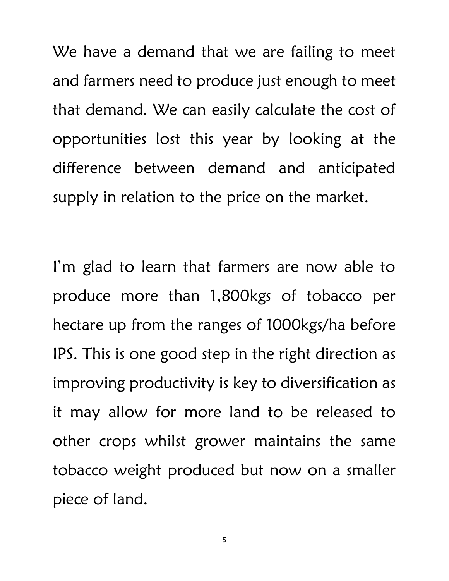We have a demand that we are failing to meet and farmers need to produce just enough to meet that demand. We can easily calculate the cost of opportunities lost this year by looking at the difference between demand and anticipated supply in relation to the price on the market.

I'm glad to learn that farmers are now able to produce more than 1,800kgs of tobacco per hectare up from the ranges of 1000kgs/ha before IPS. This is one good step in the right direction as improving productivity is key to diversification as it may allow for more land to be released to other crops whilst grower maintains the same tobacco weight produced but now on a smaller piece of land.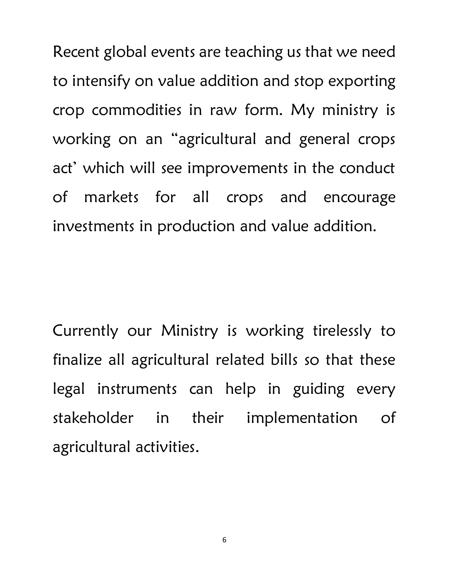Recent global events are teaching us that we need to intensify on value addition and stop exporting crop commodities in raw form. My ministry is working on an "agricultural and general crops act' which will see improvements in the conduct of markets for all crops and encourage investments in production and value addition.

Currently our Ministry is working tirelessly to finalize all agricultural related bills so that these legal instruments can help in guiding every stakeholder in their implementation of agricultural activities.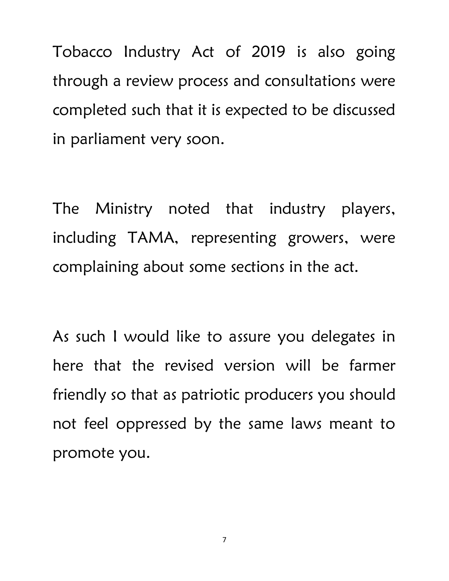Tobacco Industry Act of 2019 is also going through a review process and consultations were completed such that it is expected to be discussed in parliament very soon.

The Ministry noted that industry players, including TAMA, representing growers, were complaining about some sections in the act.

As such I would like to assure you delegates in here that the revised version will be farmer friendly so that as patriotic producers you should not feel oppressed by the same laws meant to promote you.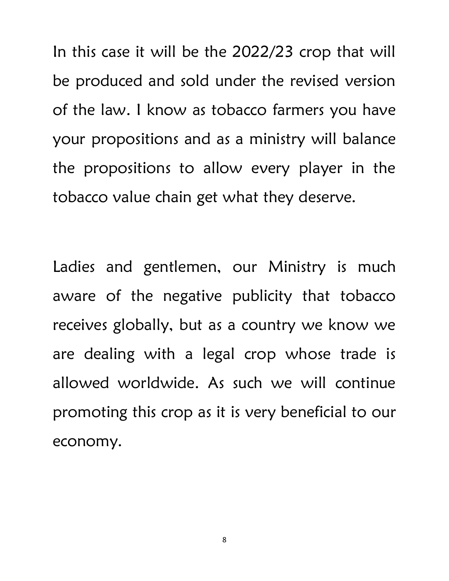In this case it will be the 2022/23 crop that will be produced and sold under the revised version of the law. I know as tobacco farmers you have your propositions and as a ministry will balance the propositions to allow every player in the tobacco value chain get what they deserve.

Ladies and gentlemen, our Ministry is much aware of the negative publicity that tobacco receives globally, but as a country we know we are dealing with a legal crop whose trade is allowed worldwide. As such we will continue promoting this crop as it is very beneficial to our economy.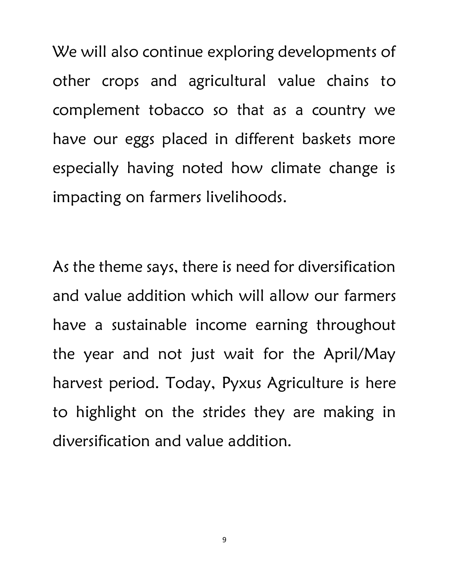We will also continue exploring developments of other crops and agricultural value chains to complement tobacco so that as a country we have our eggs placed in different baskets more especially having noted how climate change is impacting on farmers livelihoods.

As the theme says, there is need for diversification and value addition which will allow our farmers have a sustainable income earning throughout the year and not just wait for the April/May harvest period. Today, Pyxus Agriculture is here to highlight on the strides they are making in diversification and value addition.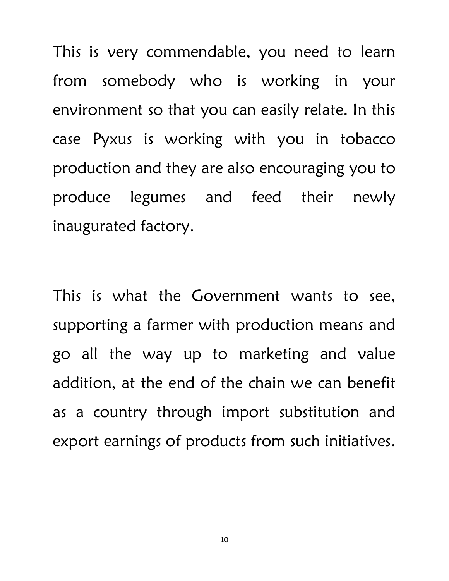This is very commendable, you need to learn from somebody who is working in your environment so that you can easily relate. In this case Pyxus is working with you in tobacco production and they are also encouraging you to produce legumes and feed their newly inaugurated factory.

This is what the Government wants to see, supporting a farmer with production means and go all the way up to marketing and value addition, at the end of the chain we can benefit as a country through import substitution and export earnings of products from such initiatives.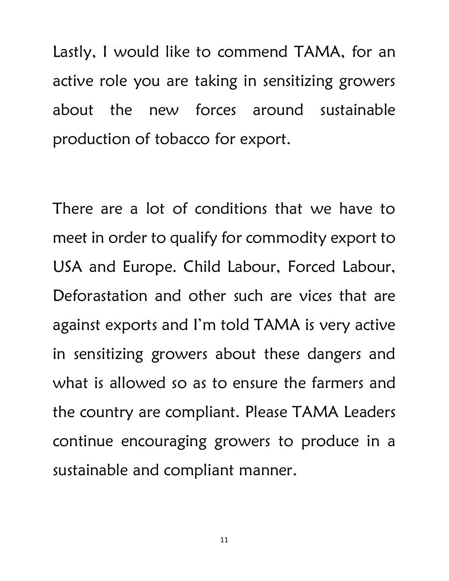Lastly, I would like to commend TAMA, for an active role you are taking in sensitizing growers about the new forces around sustainable production of tobacco for export.

There are a lot of conditions that we have to meet in order to qualify for commodity export to USA and Europe. Child Labour, Forced Labour, Deforastation and other such are vices that are against exports and I'm told TAMA is very active in sensitizing growers about these dangers and what is allowed so as to ensure the farmers and the country are compliant. Please TAMA Leaders continue encouraging growers to produce in a sustainable and compliant manner.